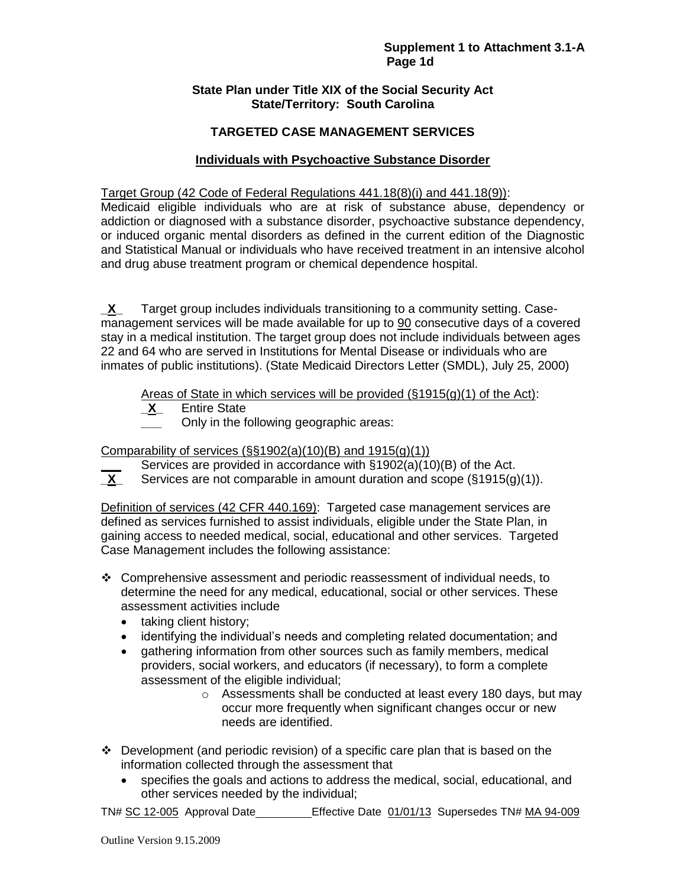### **State Plan under Title XIX of the Social Security Act State/Territory: South Carolina**

## **TARGETED CASE MANAGEMENT SERVICES**

### **Individuals with Psychoactive Substance Disorder**

#### Target Group (42 Code of Federal Regulations 441.18(8)(i) and 441.18(9)):

Medicaid eligible individuals who are at risk of substance abuse, dependency or addiction or diagnosed with a substance disorder, psychoactive substance dependency, or induced organic mental disorders as defined in the current edition of the Diagnostic and Statistical Manual or individuals who have received treatment in an intensive alcohol and drug abuse treatment program or chemical dependence hospital.

**\_X\_** Target group includes individuals transitioning to a community setting. Casemanagement services will be made available for up to 90 consecutive days of a covered stay in a medical institution. The target group does not include individuals between ages 22 and 64 who are served in Institutions for Mental Disease or individuals who are inmates of public institutions). (State Medicaid Directors Letter (SMDL), July 25, 2000)

Areas of State in which services will be provided  $(\S 1915(g)(1)$  of the Act):

**\_X\_** Entire State

**\_\_\_** Only in the following geographic areas:

Comparability of services  $(\S\S1902(a)(10)(B)$  and  $1915(g)(1))$ 

- **\_\_\_** Services are provided in accordance with §1902(a)(10)(B) of the Act.<br>**X** Services are not comparable in amount duration and scope (§1915(g)
- Services are not comparable in amount duration and scope (§1915(g)(1)).

Definition of services (42 CFR 440.169): Targeted case management services are defined as services furnished to assist individuals, eligible under the State Plan, in gaining access to needed medical, social, educational and other services. Targeted Case Management includes the following assistance:

- Comprehensive assessment and periodic reassessment of individual needs, to determine the need for any medical, educational, social or other services. These assessment activities include
	- taking client history;
	- identifying the individual's needs and completing related documentation; and
	- gathering information from other sources such as family members, medical providers, social workers, and educators (if necessary), to form a complete assessment of the eligible individual;
		- o Assessments shall be conducted at least every 180 days, but may occur more frequently when significant changes occur or new needs are identified.
- $\div$  Development (and periodic revision) of a specific care plan that is based on the information collected through the assessment that
	- specifies the goals and actions to address the medical, social, educational, and other services needed by the individual;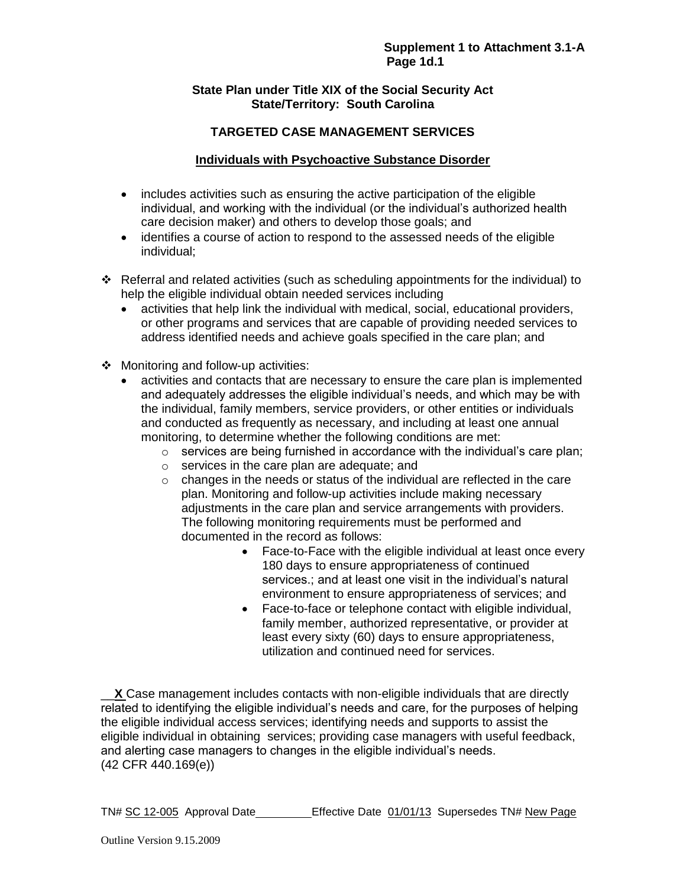### **State Plan under Title XIX of the Social Security Act State/Territory: South Carolina**

# **TARGETED CASE MANAGEMENT SERVICES**

## **Individuals with Psychoactive Substance Disorder**

- includes activities such as ensuring the active participation of the eligible individual, and working with the individual (or the individual's authorized health care decision maker) and others to develop those goals; and
- identifies a course of action to respond to the assessed needs of the eligible individual;
- $\div$  Referral and related activities (such as scheduling appointments for the individual) to help the eligible individual obtain needed services including
	- activities that help link the individual with medical, social, educational providers, or other programs and services that are capable of providing needed services to address identified needs and achieve goals specified in the care plan; and
- ❖ Monitoring and follow-up activities:
	- activities and contacts that are necessary to ensure the care plan is implemented and adequately addresses the eligible individual's needs, and which may be with the individual, family members, service providers, or other entities or individuals and conducted as frequently as necessary, and including at least one annual monitoring, to determine whether the following conditions are met:
		- $\circ$  services are being furnished in accordance with the individual's care plan;
		- o services in the care plan are adequate; and
		- o changes in the needs or status of the individual are reflected in the care plan. Monitoring and follow-up activities include making necessary adjustments in the care plan and service arrangements with providers. The following monitoring requirements must be performed and documented in the record as follows:
			- Face-to-Face with the eligible individual at least once every 180 days to ensure appropriateness of continued services.; and at least one visit in the individual's natural environment to ensure appropriateness of services; and
			- Face-to-face or telephone contact with eligible individual, family member, authorized representative, or provider at least every sixty (60) days to ensure appropriateness, utilization and continued need for services.

\_\_**X** Case management includes contacts with non-eligible individuals that are directly related to identifying the eligible individual's needs and care, for the purposes of helping the eligible individual access services; identifying needs and supports to assist the eligible individual in obtaining services; providing case managers with useful feedback, and alerting case managers to changes in the eligible individual's needs. (42 CFR 440.169(e))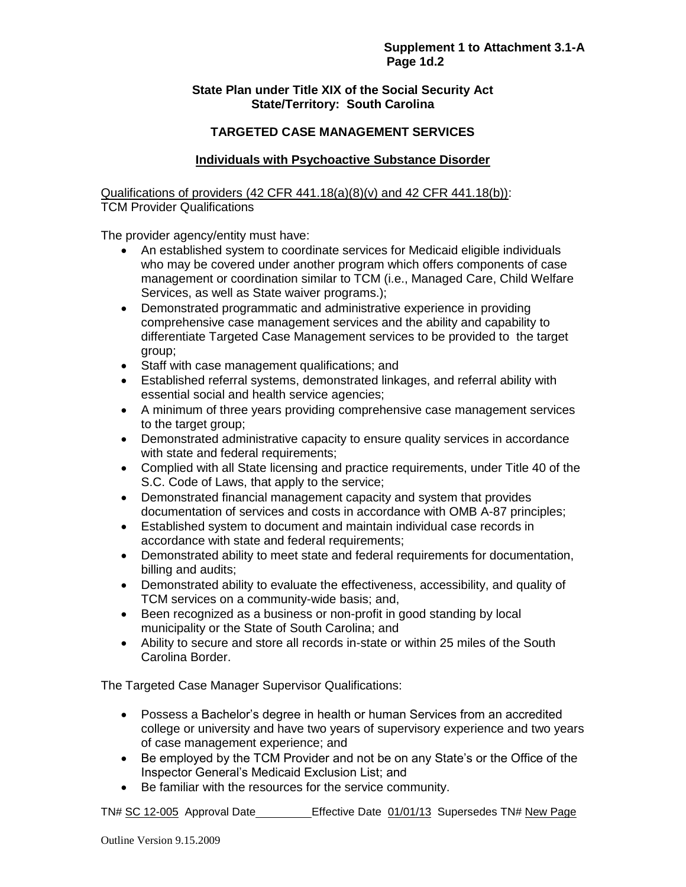### **State Plan under Title XIX of the Social Security Act State/Territory: South Carolina**

## **TARGETED CASE MANAGEMENT SERVICES**

### **Individuals with Psychoactive Substance Disorder**

Qualifications of providers  $(42$  CFR  $441.18(a)(8)(v)$  and  $42$  CFR  $441.18(b)$ : TCM Provider Qualifications

The provider agency/entity must have:

- An established system to coordinate services for Medicaid eligible individuals who may be covered under another program which offers components of case management or coordination similar to TCM (i.e., Managed Care, Child Welfare Services, as well as State waiver programs.);
- Demonstrated programmatic and administrative experience in providing comprehensive case management services and the ability and capability to differentiate Targeted Case Management services to be provided to the target group;
- Staff with case management qualifications; and
- Established referral systems, demonstrated linkages, and referral ability with essential social and health service agencies;
- A minimum of three years providing comprehensive case management services to the target group;
- Demonstrated administrative capacity to ensure quality services in accordance with state and federal requirements;
- Complied with all State licensing and practice requirements, under Title 40 of the S.C. Code of Laws, that apply to the service;
- Demonstrated financial management capacity and system that provides documentation of services and costs in accordance with OMB A-87 principles;
- Established system to document and maintain individual case records in accordance with state and federal requirements;
- Demonstrated ability to meet state and federal requirements for documentation, billing and audits;
- Demonstrated ability to evaluate the effectiveness, accessibility, and quality of TCM services on a community-wide basis; and,
- Been recognized as a business or non-profit in good standing by local municipality or the State of South Carolina; and
- Ability to secure and store all records in-state or within 25 miles of the South Carolina Border.

The Targeted Case Manager Supervisor Qualifications:

- Possess a Bachelor's degree in health or human Services from an accredited college or university and have two years of supervisory experience and two years of case management experience; and
- Be employed by the TCM Provider and not be on any State's or the Office of the Inspector General's Medicaid Exclusion List; and
- Be familiar with the resources for the service community.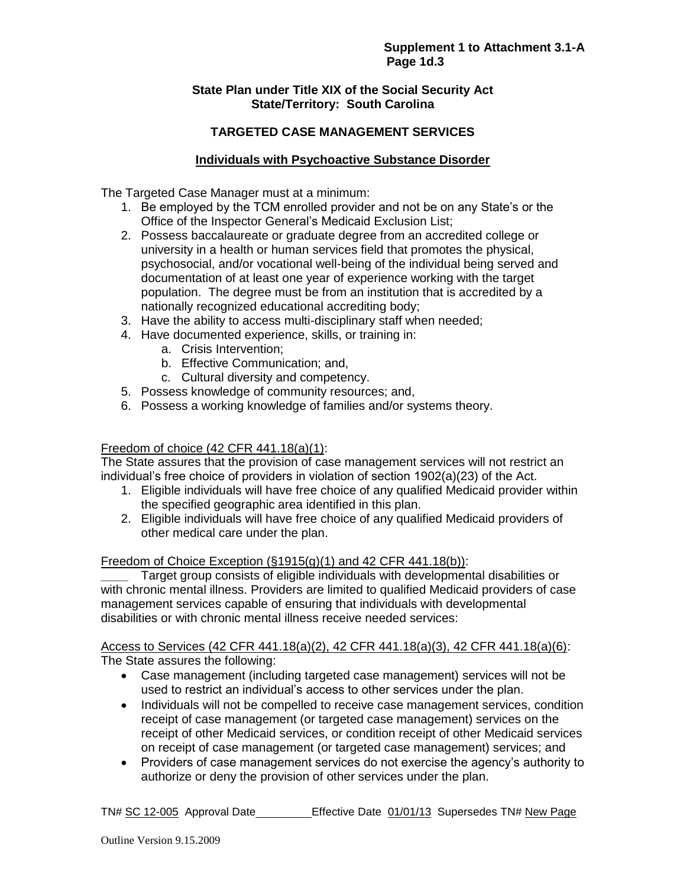### **State Plan under Title XIX of the Social Security Act State/Territory: South Carolina**

## **TARGETED CASE MANAGEMENT SERVICES**

### **Individuals with Psychoactive Substance Disorder**

The Targeted Case Manager must at a minimum:

- 1. Be employed by the TCM enrolled provider and not be on any State's or the Office of the Inspector General's Medicaid Exclusion List;
- 2. Possess baccalaureate or graduate degree from an accredited college or university in a health or human services field that promotes the physical, psychosocial, and/or vocational well-being of the individual being served and documentation of at least one year of experience working with the target population. The degree must be from an institution that is accredited by a nationally recognized educational accrediting body;
- 3. Have the ability to access multi-disciplinary staff when needed;
- 4. Have documented experience, skills, or training in:
	- a. Crisis Intervention;
	- b. Effective Communication; and,
	- c. Cultural diversity and competency.
- 5. Possess knowledge of community resources; and,
- 6. Possess a working knowledge of families and/or systems theory.

#### Freedom of choice (42 CFR 441.18(a)(1):

The State assures that the provision of case management services will not restrict an individual's free choice of providers in violation of section 1902(a)(23) of the Act.

- 1. Eligible individuals will have free choice of any qualified Medicaid provider within the specified geographic area identified in this plan.
- 2. Eligible individuals will have free choice of any qualified Medicaid providers of other medical care under the plan.

#### Freedom of Choice Exception  $(\S1915(q)(1)$  and 42 CFR 441.18(b)):

**\_\_\_\_** Target group consists of eligible individuals with developmental disabilities or with chronic mental illness. Providers are limited to qualified Medicaid providers of case management services capable of ensuring that individuals with developmental disabilities or with chronic mental illness receive needed services:

Access to Services (42 CFR 441.18(a)(2), 42 CFR 441.18(a)(3), 42 CFR 441.18(a)(6): The State assures the following:

- Case management (including targeted case management) services will not be used to restrict an individual's access to other services under the plan.
- Individuals will not be compelled to receive case management services, condition receipt of case management (or targeted case management) services on the receipt of other Medicaid services, or condition receipt of other Medicaid services on receipt of case management (or targeted case management) services; and
- Providers of case management services do not exercise the agency's authority to authorize or deny the provision of other services under the plan.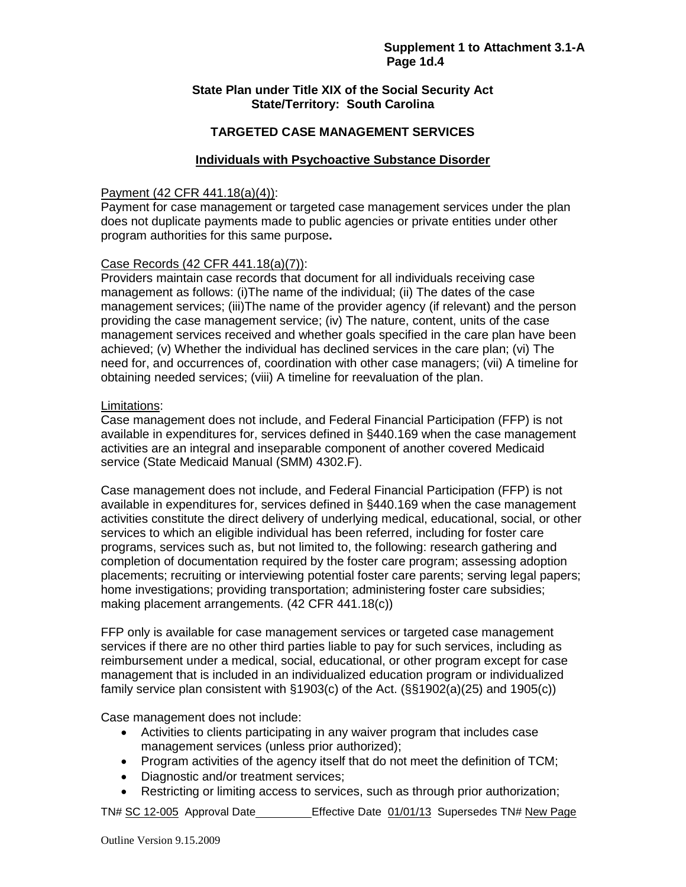### **State Plan under Title XIX of the Social Security Act State/Territory: South Carolina**

### **TARGETED CASE MANAGEMENT SERVICES**

#### **Individuals with Psychoactive Substance Disorder**

#### Payment (42 CFR 441.18(a)(4)):

Payment for case management or targeted case management services under the plan does not duplicate payments made to public agencies or private entities under other program authorities for this same purpose**.** 

#### Case Records (42 CFR 441.18(a)(7)):

Providers maintain case records that document for all individuals receiving case management as follows: (i)The name of the individual; (ii) The dates of the case management services; (iii)The name of the provider agency (if relevant) and the person providing the case management service; (iv) The nature, content, units of the case management services received and whether goals specified in the care plan have been achieved; (v) Whether the individual has declined services in the care plan; (vi) The need for, and occurrences of, coordination with other case managers; (vii) A timeline for obtaining needed services; (viii) A timeline for reevaluation of the plan.

#### Limitations:

Case management does not include, and Federal Financial Participation (FFP) is not available in expenditures for, services defined in §440.169 when the case management activities are an integral and inseparable component of another covered Medicaid service (State Medicaid Manual (SMM) 4302.F).

Case management does not include, and Federal Financial Participation (FFP) is not available in expenditures for, services defined in §440.169 when the case management activities constitute the direct delivery of underlying medical, educational, social, or other services to which an eligible individual has been referred, including for foster care programs, services such as, but not limited to, the following: research gathering and completion of documentation required by the foster care program; assessing adoption placements; recruiting or interviewing potential foster care parents; serving legal papers; home investigations; providing transportation; administering foster care subsidies; making placement arrangements. (42 CFR 441.18(c))

FFP only is available for case management services or targeted case management services if there are no other third parties liable to pay for such services, including as reimbursement under a medical, social, educational, or other program except for case management that is included in an individualized education program or individualized family service plan consistent with §1903(c) of the Act. (§§1902(a)(25) and 1905(c))

Case management does not include:

- Activities to clients participating in any waiver program that includes case management services (unless prior authorized);
- Program activities of the agency itself that do not meet the definition of TCM;
- Diagnostic and/or treatment services;
- Restricting or limiting access to services, such as through prior authorization;